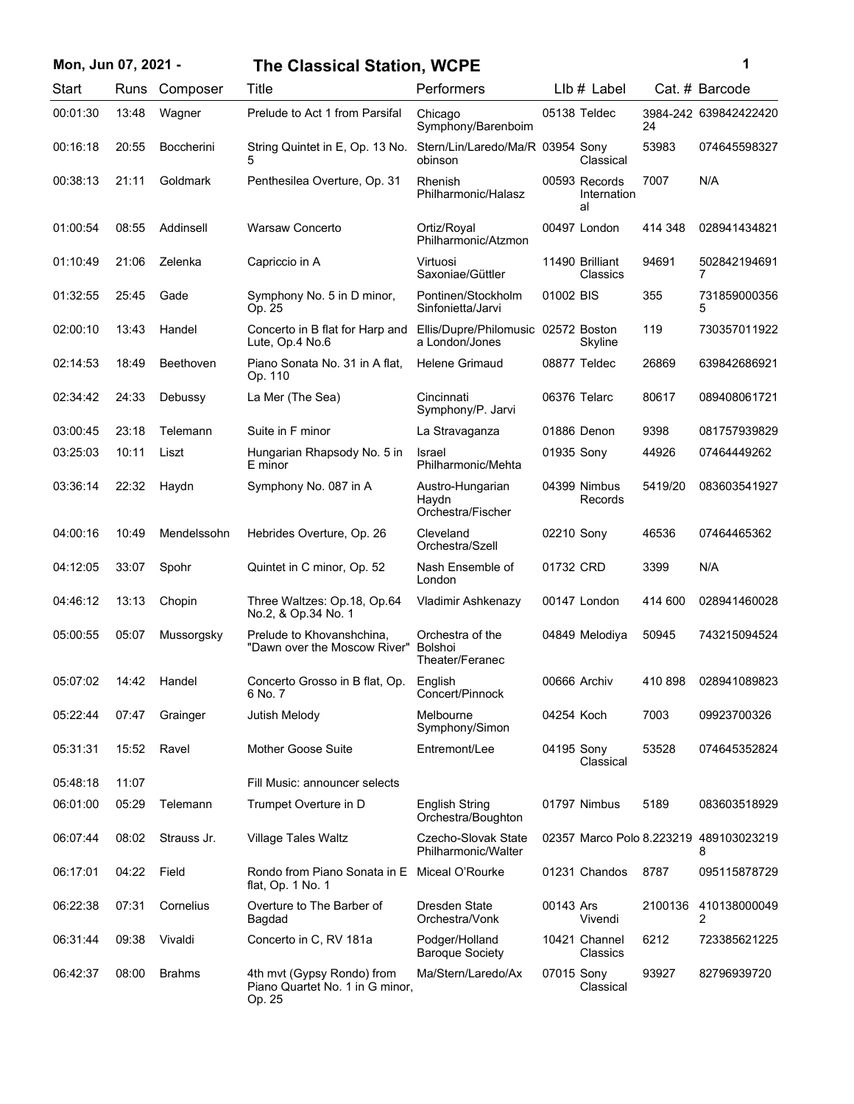| Mon, Jun 07, 2021 - |       |                   | <b>The Classical Station, WCPE</b>                                      |                                                       |            |                                    |         | 1                                           |
|---------------------|-------|-------------------|-------------------------------------------------------------------------|-------------------------------------------------------|------------|------------------------------------|---------|---------------------------------------------|
| Start               | Runs  | Composer          | Title                                                                   | Performers                                            |            | $Llb#$ Label                       |         | Cat. # Barcode                              |
| 00:01:30            | 13:48 | Wagner            | Prelude to Act 1 from Parsifal                                          | Chicago<br>Symphony/Barenboim                         |            | 05138 Teldec                       | 24      | 3984-242 639842422420                       |
| 00:16:18            | 20:55 | <b>Boccherini</b> | String Quintet in E, Op. 13 No.<br>5                                    | Stern/Lin/Laredo/Ma/R 03954 Sony<br>obinson           |            | Classical                          | 53983   | 074645598327                                |
| 00:38:13            | 21:11 | Goldmark          | Penthesilea Overture, Op. 31                                            | <b>Rhenish</b><br>Philharmonic/Halasz                 |            | 00593 Records<br>Internation<br>al | 7007    | N/A                                         |
| 01:00:54            | 08:55 | Addinsell         | Warsaw Concerto                                                         | Ortiz/Royal<br>Philharmonic/Atzmon                    |            | 00497 London                       | 414 348 | 028941434821                                |
| 01:10:49            | 21:06 | Zelenka           | Capriccio in A                                                          | Virtuosi<br>Saxoniae/Güttler                          |            | 11490 Brilliant<br>Classics        | 94691   | 502842194691<br>7                           |
| 01:32:55            | 25:45 | Gade              | Symphony No. 5 in D minor,<br>Op. 25                                    | Pontinen/Stockholm<br>Sinfonietta/Jarvi               | 01002 BIS  |                                    | 355     | 731859000356<br>5                           |
| 02:00:10            | 13:43 | Handel            | Concerto in B flat for Harp and<br>Lute, Op.4 No.6                      | Ellis/Dupre/Philomusic 02572 Boston<br>a London/Jones |            | Skyline                            | 119     | 730357011922                                |
| 02:14:53            | 18:49 | Beethoven         | Piano Sonata No. 31 in A flat,<br>Op. 110                               | Helene Grimaud                                        |            | 08877 Teldec                       | 26869   | 639842686921                                |
| 02:34:42            | 24:33 | Debussy           | La Mer (The Sea)                                                        | Cincinnati<br>Symphony/P. Jarvi                       |            | 06376 Telarc                       | 80617   | 089408061721                                |
| 03:00:45            | 23:18 | Telemann          | Suite in F minor                                                        | La Stravaganza                                        |            | 01886 Denon                        | 9398    | 081757939829                                |
| 03:25:03            | 10:11 | Liszt             | Hungarian Rhapsody No. 5 in<br>E minor                                  | <b>Israel</b><br>Philharmonic/Mehta                   | 01935 Sony |                                    | 44926   | 07464449262                                 |
| 03:36:14            | 22:32 | Haydn             | Symphony No. 087 in A                                                   | Austro-Hungarian<br>Haydn<br>Orchestra/Fischer        |            | 04399 Nimbus<br>Records            | 5419/20 | 083603541927                                |
| 04:00:16            | 10:49 | Mendelssohn       | Hebrides Overture, Op. 26                                               | Cleveland<br>Orchestra/Szell                          | 02210 Sony |                                    | 46536   | 07464465362                                 |
| 04:12:05            | 33:07 | Spohr             | Quintet in C minor, Op. 52                                              | Nash Ensemble of<br>London                            | 01732 CRD  |                                    | 3399    | N/A                                         |
| 04:46:12            | 13:13 | Chopin            | Three Waltzes: Op.18, Op.64<br>No.2, & Op.34 No. 1                      | Vladimir Ashkenazy                                    |            | 00147 London                       | 414 600 | 028941460028                                |
| 05:00:55            | 05:07 | Mussorgsky        | Prelude to Khovanshchina,<br>"Dawn over the Moscow River"               | Orchestra of the<br>Bolshoi<br>Theater/Feranec        |            | 04849 Melodiya                     | 50945   | 743215094524                                |
| 05:07:02            | 14:42 | Handel            | Concerto Grosso in B flat, Op.<br>6 No. 7                               | English<br>Concert/Pinnock                            |            | 00666 Archiv                       |         | 410 898 028941089823                        |
| 05:22:44            | 07:47 | Grainger          | Jutish Melody                                                           | Melbourne<br>Symphony/Simon                           | 04254 Koch |                                    | 7003    | 09923700326                                 |
| 05:31:31            | 15:52 | Ravel             | <b>Mother Goose Suite</b>                                               | Entremont/Lee                                         | 04195 Sony | Classical                          | 53528   | 074645352824                                |
| 05:48:18            | 11:07 |                   | Fill Music: announcer selects                                           |                                                       |            |                                    |         |                                             |
| 06:01:00            | 05:29 | Telemann          | Trumpet Overture in D                                                   | <b>English String</b><br>Orchestra/Boughton           |            | 01797 Nimbus                       | 5189    | 083603518929                                |
| 06:07:44            | 08:02 | Strauss Jr.       | <b>Village Tales Waltz</b>                                              | Czecho-Slovak State<br>Philharmonic/Walter            |            |                                    |         | 02357 Marco Polo 8.223219 489103023219<br>8 |
| 06:17:01            | 04:22 | Field             | Rondo from Piano Sonata in E Miceal O'Rourke<br>flat, Op. 1 No. 1       |                                                       |            | 01231 Chandos                      | 8787    | 095115878729                                |
| 06:22:38            | 07:31 | Cornelius         | Overture to The Barber of<br>Bagdad                                     | Dresden State<br>Orchestra/Vonk                       | 00143 Ars  | Vivendi                            | 2100136 | 410138000049<br>2                           |
| 06:31:44            | 09:38 | Vivaldi           | Concerto in C, RV 181a                                                  | Podger/Holland<br><b>Baroque Society</b>              |            | 10421 Channel<br>Classics          | 6212    | 723385621225                                |
| 06:42:37            | 08:00 | <b>Brahms</b>     | 4th mvt (Gypsy Rondo) from<br>Piano Quartet No. 1 in G minor,<br>Op. 25 | Ma/Stern/Laredo/Ax                                    | 07015 Sony | Classical                          | 93927   | 82796939720                                 |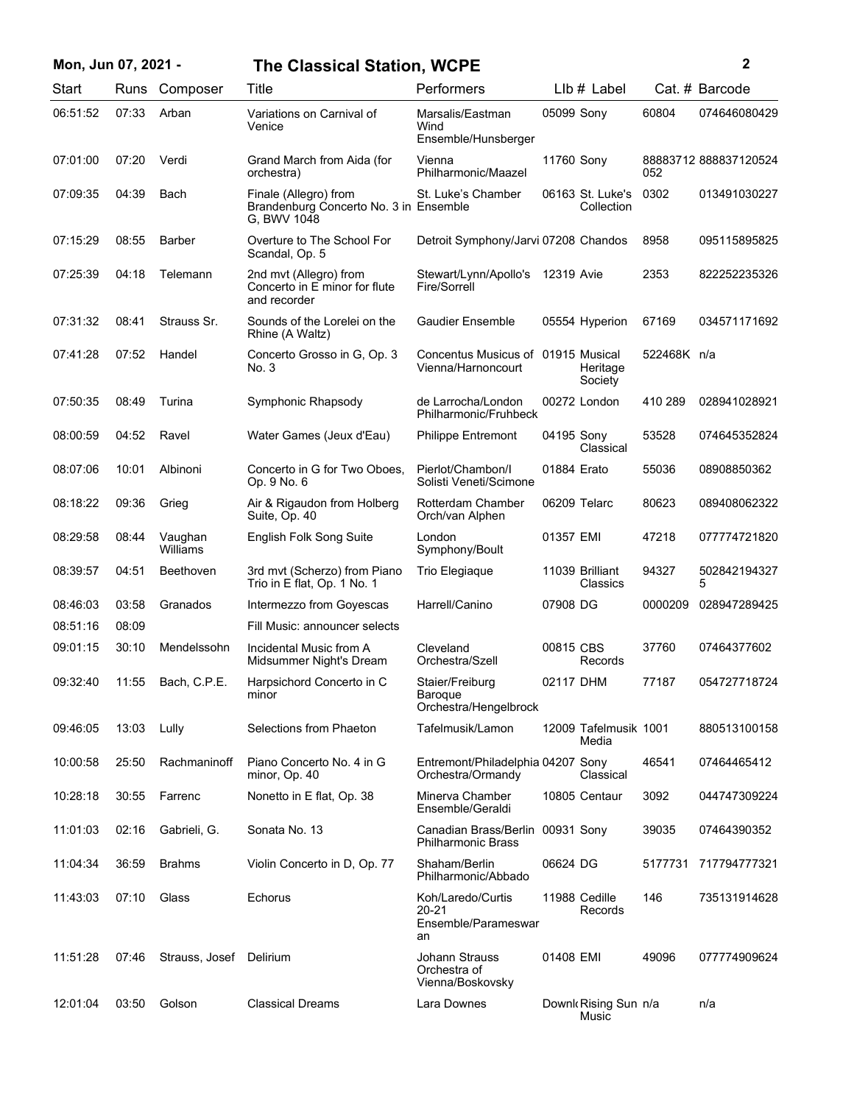| Mon, Jun 07, 2021 - |       |                         | <b>The Classical Station, WCPE</b>                                             |                                                             |             |                                |             | $\mathbf{2}$         |
|---------------------|-------|-------------------------|--------------------------------------------------------------------------------|-------------------------------------------------------------|-------------|--------------------------------|-------------|----------------------|
| Start               | Runs  | Composer                | Title                                                                          | Performers                                                  |             | $Llb#$ Label                   |             | Cat. # Barcode       |
| 06:51:52            | 07:33 | Arban                   | Variations on Carnival of<br>Venice                                            | Marsalis/Eastman<br>Wind<br>Ensemble/Hunsberger             | 05099 Sony  |                                | 60804       | 074646080429         |
| 07:01:00            | 07:20 | Verdi                   | Grand March from Aida (for<br>orchestra)                                       | Vienna<br>Philharmonic/Maazel                               | 11760 Sony  |                                | 052         | 88883712888837120524 |
| 07:09:35            | 04:39 | Bach                    | Finale (Allegro) from<br>Brandenburg Concerto No. 3 in Ensemble<br>G. BWV 1048 | St. Luke's Chamber                                          |             | 06163 St. Luke's<br>Collection | 0302        | 013491030227         |
| 07:15:29            | 08:55 | <b>Barber</b>           | Overture to The School For<br>Scandal, Op. 5                                   | Detroit Symphony/Jarvi 07208 Chandos                        |             |                                | 8958        | 095115895825         |
| 07:25:39            | 04:18 | Telemann                | 2nd mvt (Allegro) from<br>Concerto in E minor for flute<br>and recorder        | Stewart/Lynn/Apollo's<br>Fire/Sorrell                       | 12319 Avie  |                                | 2353        | 822252235326         |
| 07:31:32            | 08:41 | Strauss Sr.             | Sounds of the Lorelei on the<br>Rhine (A Waltz)                                | <b>Gaudier Ensemble</b>                                     |             | 05554 Hyperion                 | 67169       | 034571171692         |
| 07:41:28            | 07:52 | Handel                  | Concerto Grosso in G, Op. 3<br>No. 3                                           | Concentus Musicus of 01915 Musical<br>Vienna/Harnoncourt    |             | Heritage<br>Society            | 522468K n/a |                      |
| 07:50:35            | 08:49 | Turina                  | Symphonic Rhapsody                                                             | de Larrocha/London<br>Philharmonic/Fruhbeck                 |             | 00272 London                   | 410 289     | 028941028921         |
| 08:00:59            | 04:52 | Ravel                   | Water Games (Jeux d'Eau)                                                       | <b>Philippe Entremont</b>                                   | 04195 Sony  | Classical                      | 53528       | 074645352824         |
| 08:07:06            | 10:01 | Albinoni                | Concerto in G for Two Oboes,<br>Op. 9 No. 6                                    | Pierlot/Chambon/I<br>Solisti Veneti/Scimone                 | 01884 Erato |                                | 55036       | 08908850362          |
| 08:18:22            | 09:36 | Grieg                   | Air & Rigaudon from Holberg<br>Suite, Op. 40                                   | Rotterdam Chamber<br>Orch/van Alphen                        |             | 06209 Telarc                   | 80623       | 089408062322         |
| 08:29:58            | 08:44 | Vaughan<br>Williams     | English Folk Song Suite                                                        | London<br>Symphony/Boult                                    | 01357 EMI   |                                | 47218       | 077774721820         |
| 08:39:57            | 04:51 | Beethoven               | 3rd mvt (Scherzo) from Piano<br>Trio in E flat, Op. 1 No. 1                    | Trio Elegiaque                                              |             | 11039 Brilliant<br>Classics    | 94327       | 502842194327<br>5    |
| 08:46:03            | 03:58 | Granados                | Intermezzo from Goyescas                                                       | Harrell/Canino                                              | 07908 DG    |                                | 0000209     | 028947289425         |
| 08:51:16            | 08:09 |                         | Fill Music: announcer selects                                                  |                                                             |             |                                |             |                      |
| 09:01:15            | 30:10 | Mendelssohn             | Incidental Music from A<br>Midsummer Night's Dream                             | Cleveland<br>Orchestra/Szell                                | 00815 CBS   | Records                        | 37760       | 07464377602          |
| 09:32:40            | 11:55 | Bach, C.P.E.            | Harpsichord Concerto in C<br>minor                                             | Staier/Freiburg<br>Baroque<br>Orchestra/Hengelbrock         | 02117 DHM   |                                | 77187       | 054727718724         |
| 09:46:05            | 13:03 | Lully                   | Selections from Phaeton                                                        | Tafelmusik/Lamon                                            |             | 12009 Tafelmusik 1001<br>Media |             | 880513100158         |
| 10:00:58            | 25:50 | Rachmaninoff            | Piano Concerto No. 4 in G<br>minor, Op. 40                                     | Entremont/Philadelphia 04207 Sony<br>Orchestra/Ormandy      |             | Classical                      | 46541       | 07464465412          |
| 10:28:18            | 30:55 | Farrenc                 | Nonetto in E flat, Op. 38                                                      | Minerva Chamber<br>Ensemble/Geraldi                         |             | 10805 Centaur                  | 3092        | 044747309224         |
| 11:01:03            | 02:16 | Gabrieli, G.            | Sonata No. 13                                                                  | Canadian Brass/Berlin<br><b>Philharmonic Brass</b>          | 00931 Sony  |                                | 39035       | 07464390352          |
| 11:04:34            | 36:59 | <b>Brahms</b>           | Violin Concerto in D, Op. 77                                                   | Shaham/Berlin<br>Philharmonic/Abbado                        | 06624 DG    |                                | 5177731     | 717794777321         |
| 11:43:03            | 07:10 | Glass                   | Echorus                                                                        | Koh/Laredo/Curtis<br>$20 - 21$<br>Ensemble/Parameswar<br>an |             | 11988 Cedille<br>Records       | 146         | 735131914628         |
| 11:51:28            | 07:46 | Strauss, Josef Delirium |                                                                                | Johann Strauss<br>Orchestra of<br>Vienna/Boskovsky          | 01408 EMI   |                                | 49096       | 077774909624         |
| 12:01:04            | 03:50 | Golson                  | <b>Classical Dreams</b>                                                        | Lara Downes                                                 |             | Downk Rising Sun n/a<br>Music  |             | n/a                  |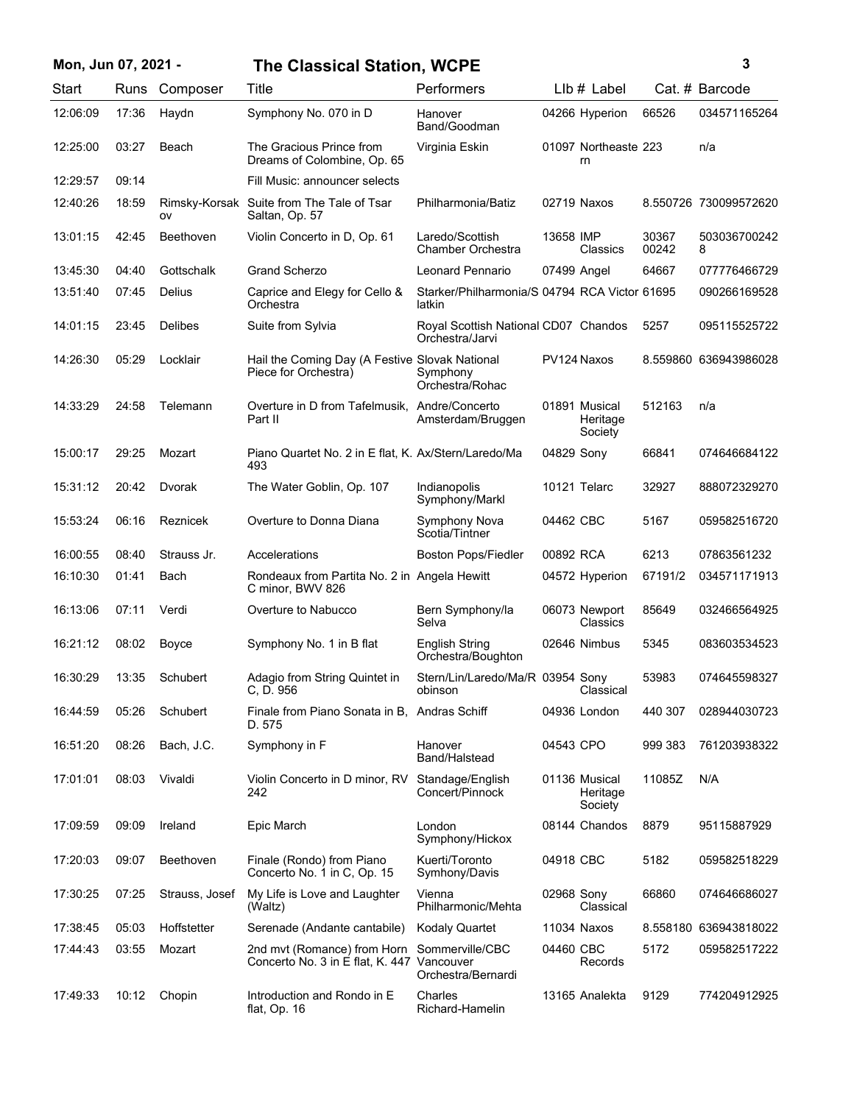| Mon, Jun 07, 2021 - |       |                | <b>The Classical Station, WCPE</b>                                        |                                                         |             |                                      |                | 3                     |
|---------------------|-------|----------------|---------------------------------------------------------------------------|---------------------------------------------------------|-------------|--------------------------------------|----------------|-----------------------|
| Start               | Runs  | Composer       | Title                                                                     | Performers                                              |             | $Llb#$ Label                         |                | Cat. # Barcode        |
| 12:06:09            | 17:36 | Haydn          | Symphony No. 070 in D                                                     | Hanover<br>Band/Goodman                                 |             | 04266 Hyperion                       | 66526          | 034571165264          |
| 12:25:00            | 03:27 | Beach          | The Gracious Prince from<br>Dreams of Colombine, Op. 65                   | Virginia Eskin                                          |             | 01097 Northeaste 223<br>rn           |                | n/a                   |
| 12:29:57            | 09:14 |                | Fill Music: announcer selects                                             |                                                         |             |                                      |                |                       |
| 12:40:26            | 18:59 | ov             | Rimsky-Korsak Suite from The Tale of Tsar<br>Saltan, Op. 57               | Philharmonia/Batiz                                      |             | 02719 Naxos                          |                | 8.550726 730099572620 |
| 13:01:15            | 42:45 | Beethoven      | Violin Concerto in D, Op. 61                                              | Laredo/Scottish<br>Chamber Orchestra                    | 13658 IMP   | Classics                             | 30367<br>00242 | 503036700242<br>8     |
| 13:45:30            | 04:40 | Gottschalk     | <b>Grand Scherzo</b>                                                      | Leonard Pennario                                        | 07499 Angel |                                      | 64667          | 077776466729          |
| 13:51:40            | 07:45 | Delius         | Caprice and Elegy for Cello &<br>Orchestra                                | Starker/Philharmonia/S 04794 RCA Victor 61695<br>latkin |             |                                      |                | 090266169528          |
| 14:01:15            | 23:45 | <b>Delibes</b> | Suite from Sylvia                                                         | Royal Scottish National CD07 Chandos<br>Orchestra/Jarvi |             |                                      | 5257           | 095115525722          |
| 14:26:30            | 05:29 | Locklair       | Hail the Coming Day (A Festive Slovak National<br>Piece for Orchestra)    | Symphony<br>Orchestra/Rohac                             |             | PV124 Naxos                          |                | 8.559860 636943986028 |
| 14:33:29            | 24:58 | Telemann       | Overture in D from Tafelmusik, Andre/Concerto<br>Part II                  | Amsterdam/Bruggen                                       |             | 01891 Musical<br>Heritage<br>Society | 512163         | n/a                   |
| 15:00:17            | 29:25 | Mozart         | Piano Quartet No. 2 in E flat, K. Ax/Stern/Laredo/Ma<br>493               |                                                         | 04829 Sony  |                                      | 66841          | 074646684122          |
| 15:31:12            | 20:42 | Dvorak         | The Water Goblin, Op. 107                                                 | Indianopolis<br>Symphony/Markl                          |             | 10121 Telarc                         | 32927          | 888072329270          |
| 15:53:24            | 06:16 | Reznicek       | Overture to Donna Diana                                                   | Symphony Nova<br>Scotia/Tintner                         | 04462 CBC   |                                      | 5167           | 059582516720          |
| 16:00:55            | 08:40 | Strauss Jr.    | Accelerations                                                             | <b>Boston Pops/Fiedler</b>                              | 00892 RCA   |                                      | 6213           | 07863561232           |
| 16:10:30            | 01:41 | Bach           | Rondeaux from Partita No. 2 in Angela Hewitt<br>C minor, BWV 826          |                                                         |             | 04572 Hyperion                       | 67191/2        | 034571171913          |
| 16:13:06            | 07:11 | Verdi          | Overture to Nabucco                                                       | Bern Symphony/la<br>Selva                               |             | 06073 Newport<br>Classics            | 85649          | 032466564925          |
| 16:21:12            | 08:02 | Boyce          | Symphony No. 1 in B flat                                                  | <b>English String</b><br>Orchestra/Boughton             |             | 02646 Nimbus                         | 5345           | 083603534523          |
| 16:30:29            | 13:35 | Schubert       | Adagio from String Quintet in<br>C, D. 956                                | Stern/Lin/Laredo/Ma/R 03954 Sony<br>obinson             |             | Classical                            | 53983          | 074645598327          |
| 16:44:59            | 05:26 | Schubert       | Finale from Piano Sonata in B, Andras Schiff<br>D. 575                    |                                                         |             | 04936 London                         | 440 307        | 028944030723          |
| 16:51:20            | 08:26 | Bach, J.C.     | Symphony in F                                                             | Hanover<br>Band/Halstead                                | 04543 CPO   |                                      | 999 383        | 761203938322          |
| 17:01:01            | 08:03 | Vivaldi        | Violin Concerto in D minor, RV<br>242                                     | Standage/English<br>Concert/Pinnock                     |             | 01136 Musical<br>Heritage<br>Society | 11085Z         | N/A                   |
| 17:09:59            | 09:09 | Ireland        | Epic March                                                                | London<br>Symphony/Hickox                               |             | 08144 Chandos                        | 8879           | 95115887929           |
| 17:20:03            | 09:07 | Beethoven      | Finale (Rondo) from Piano<br>Concerto No. 1 in C, Op. 15                  | Kuerti/Toronto<br>Symhony/Davis                         | 04918 CBC   |                                      | 5182           | 059582518229          |
| 17:30:25            | 07:25 | Strauss, Josef | My Life is Love and Laughter<br>(Waltz)                                   | Vienna<br>Philharmonic/Mehta                            | 02968 Sony  | Classical                            | 66860          | 074646686027          |
| 17:38:45            | 05:03 | Hoffstetter    | Serenade (Andante cantabile)                                              | <b>Kodaly Quartet</b>                                   |             | 11034 Naxos                          |                | 8.558180 636943818022 |
| 17:44:43            | 03:55 | Mozart         | 2nd mvt (Romance) from Horn<br>Concerto No. 3 in E flat, K. 447 Vancouver | Sommerville/CBC<br>Orchestra/Bernardi                   | 04460 CBC   | Records                              | 5172           | 059582517222          |
| 17:49:33            | 10:12 | Chopin         | Introduction and Rondo in E<br>flat, Op. 16                               | Charles<br>Richard-Hamelin                              |             | 13165 Analekta                       | 9129           | 774204912925          |